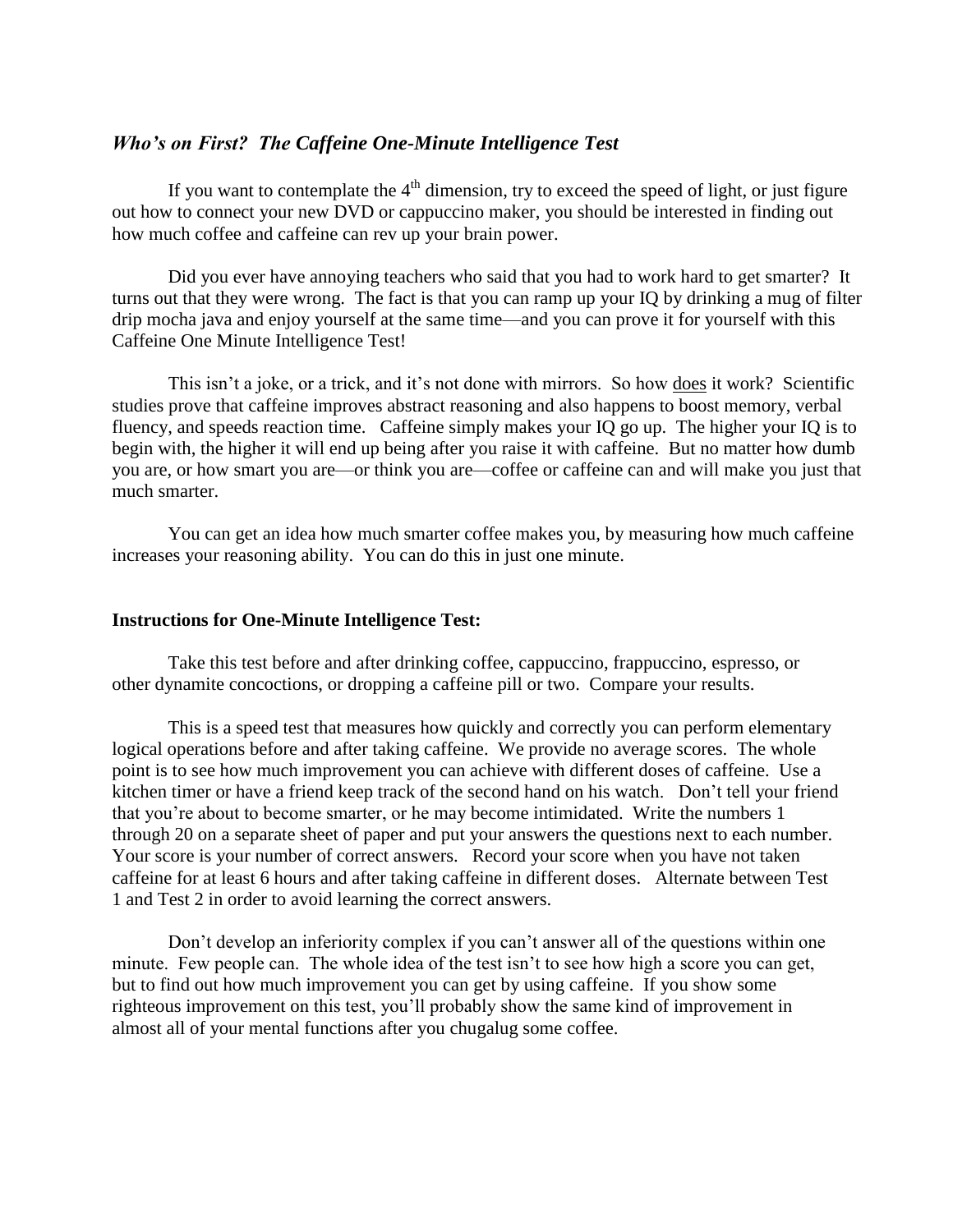### *Who's on First? The Caffeine One-Minute Intelligence Test*

If you want to contemplate the  $4<sup>th</sup>$  dimension, try to exceed the speed of light, or just figure out how to connect your new DVD or cappuccino maker, you should be interested in finding out how much coffee and caffeine can rev up your brain power.

Did you ever have annoying teachers who said that you had to work hard to get smarter? It turns out that they were wrong. The fact is that you can ramp up your IQ by drinking a mug of filter drip mocha java and enjoy yourself at the same time—and you can prove it for yourself with this Caffeine One Minute Intelligence Test!

This isn't a joke, or a trick, and it's not done with mirrors. So how does it work? Scientific studies prove that caffeine improves abstract reasoning and also happens to boost memory, verbal fluency, and speeds reaction time. Caffeine simply makes your IQ go up. The higher your IQ is to begin with, the higher it will end up being after you raise it with caffeine. But no matter how dumb you are, or how smart you are—or think you are—coffee or caffeine can and will make you just that much smarter.

You can get an idea how much smarter coffee makes you, by measuring how much caffeine increases your reasoning ability. You can do this in just one minute.

#### **Instructions for One-Minute Intelligence Test:**

Take this test before and after drinking coffee, cappuccino, frappuccino, espresso, or other dynamite concoctions, or dropping a caffeine pill or two. Compare your results.

This is a speed test that measures how quickly and correctly you can perform elementary logical operations before and after taking caffeine. We provide no average scores. The whole point is to see how much improvement you can achieve with different doses of caffeine. Use a kitchen timer or have a friend keep track of the second hand on his watch. Don't tell your friend that you're about to become smarter, or he may become intimidated. Write the numbers 1 through 20 on a separate sheet of paper and put your answers the questions next to each number. Your score is your number of correct answers. Record your score when you have not taken caffeine for at least 6 hours and after taking caffeine in different doses. Alternate between Test 1 and Test 2 in order to avoid learning the correct answers.

Don't develop an inferiority complex if you can't answer all of the questions within one minute. Few people can. The whole idea of the test isn't to see how high a score you can get, but to find out how much improvement you can get by using caffeine. If you show some righteous improvement on this test, you'll probably show the same kind of improvement in almost all of your mental functions after you chugalug some coffee.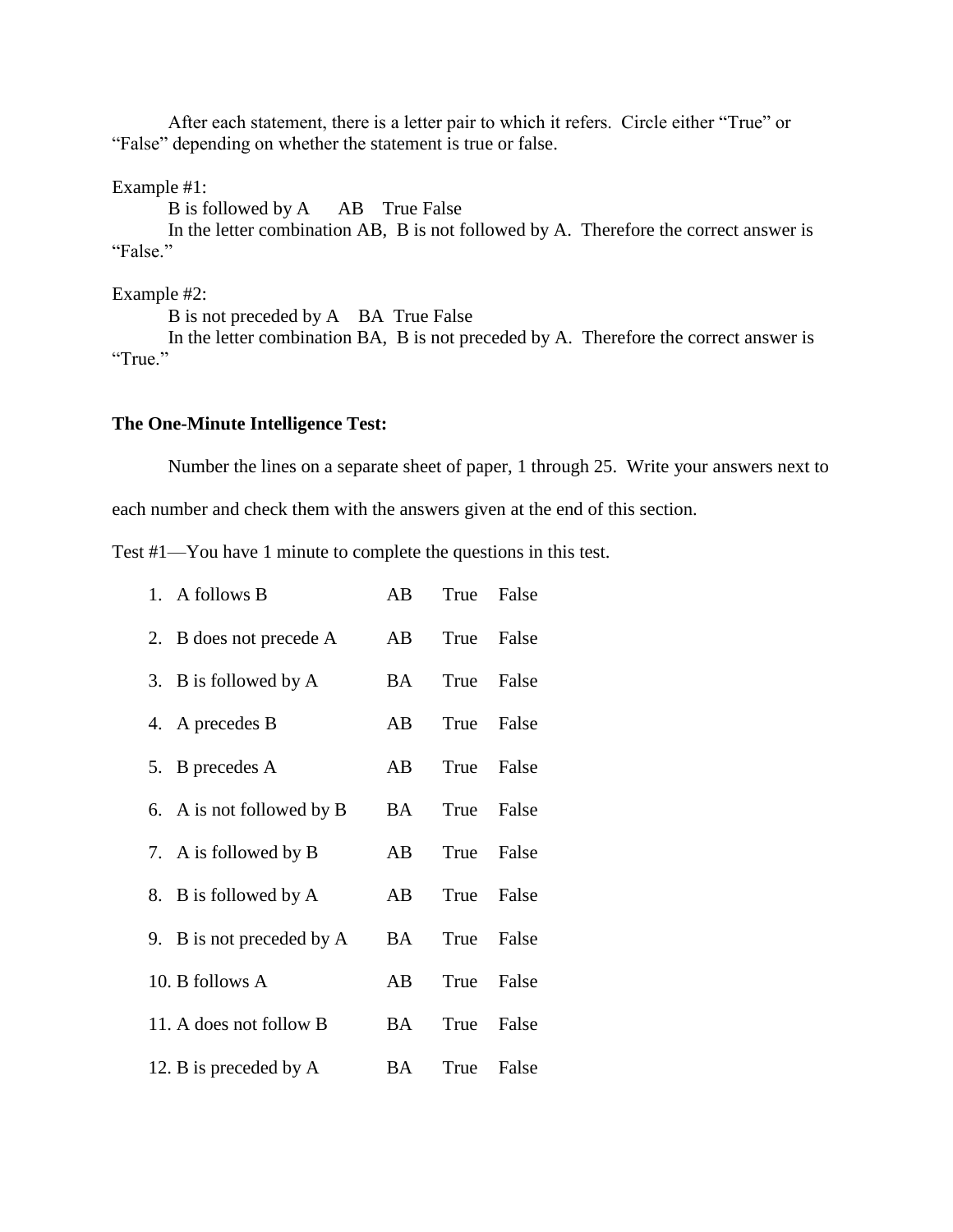After each statement, there is a letter pair to which it refers. Circle either "True" or "False" depending on whether the statement is true or false.

Example #1:

B is followed by A AB True False

In the letter combination AB, B is not followed by A. Therefore the correct answer is "False."

Example #2:

B is not preceded by A BA True False

In the letter combination BA, B is not preceded by A. Therefore the correct answer is "True."

#### **The One-Minute Intelligence Test:**

Number the lines on a separate sheet of paper, 1 through 25. Write your answers next to

each number and check them with the answers given at the end of this section.

Test #1—You have 1 minute to complete the questions in this test.

| 1. A follows B            | AB | True False    |       |
|---------------------------|----|---------------|-------|
| 2. B does not precede A   | AB | True False    |       |
| 3. B is followed by A     | BA | True          | False |
| 4. A precedes B           | AB | True False    |       |
| 5. B precedes A           | AB | True False    |       |
| 6. A is not followed by B |    | BA True False |       |
| 7. A is followed by B     | AB | True          | False |
| 8. B is followed by A     | AB | True False    |       |
| 9. B is not preceded by A | BA | True False    |       |
| 10. B follows A           | AB | True False    |       |
| 11. A does not follow B   |    | BA True       | False |
| 12. B is preceded by A    |    | BA True False |       |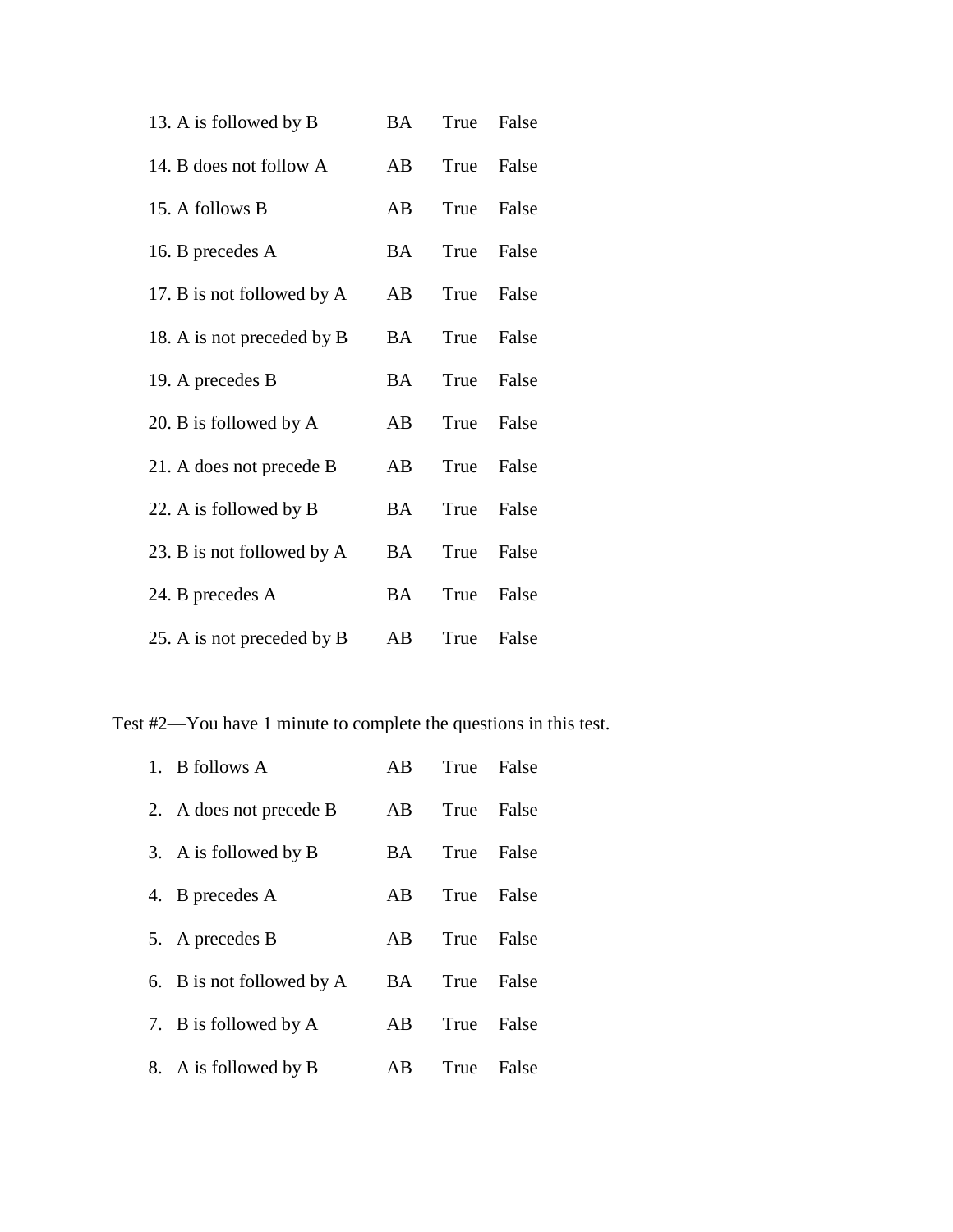| 13. A is followed by B     |           | BA True False |            |
|----------------------------|-----------|---------------|------------|
| 14. B does not follow A    | AB        |               | True False |
| 15. A follows B            | AB        |               | True False |
| 16. B precedes A           | BA        |               | True False |
| 17. B is not followed by A | AB        |               | True False |
| 18. A is not preceded by B | BA        |               | True False |
| 19. A precedes B           | BA        |               | True False |
| 20. B is followed by A     |           | AB True False |            |
| 21. A does not precede B   | AB        |               | True False |
| 22. A is followed by B     | BA        |               | True False |
| 23. B is not followed by A | <b>BA</b> |               | True False |
| 24. B precedes A           | BA        |               | True False |
| 25. A is not preceded by B | AB        | True          | False      |

Test #2—You have 1 minute to complete the questions in this test.

| 1. B follows A            | AB  | True False |       |
|---------------------------|-----|------------|-------|
| 2. A does not precede B   | AB. | True False |       |
| 3. A is followed by B     | BA. | True       | False |
| 4. B precedes A           | AB. | True False |       |
| 5. A precedes B           | AB. | True False |       |
| 6. B is not followed by A | BA. | True False |       |
| 7. B is followed by A     | AB. | True False |       |
| 8. A is followed by B     | AB. | True False |       |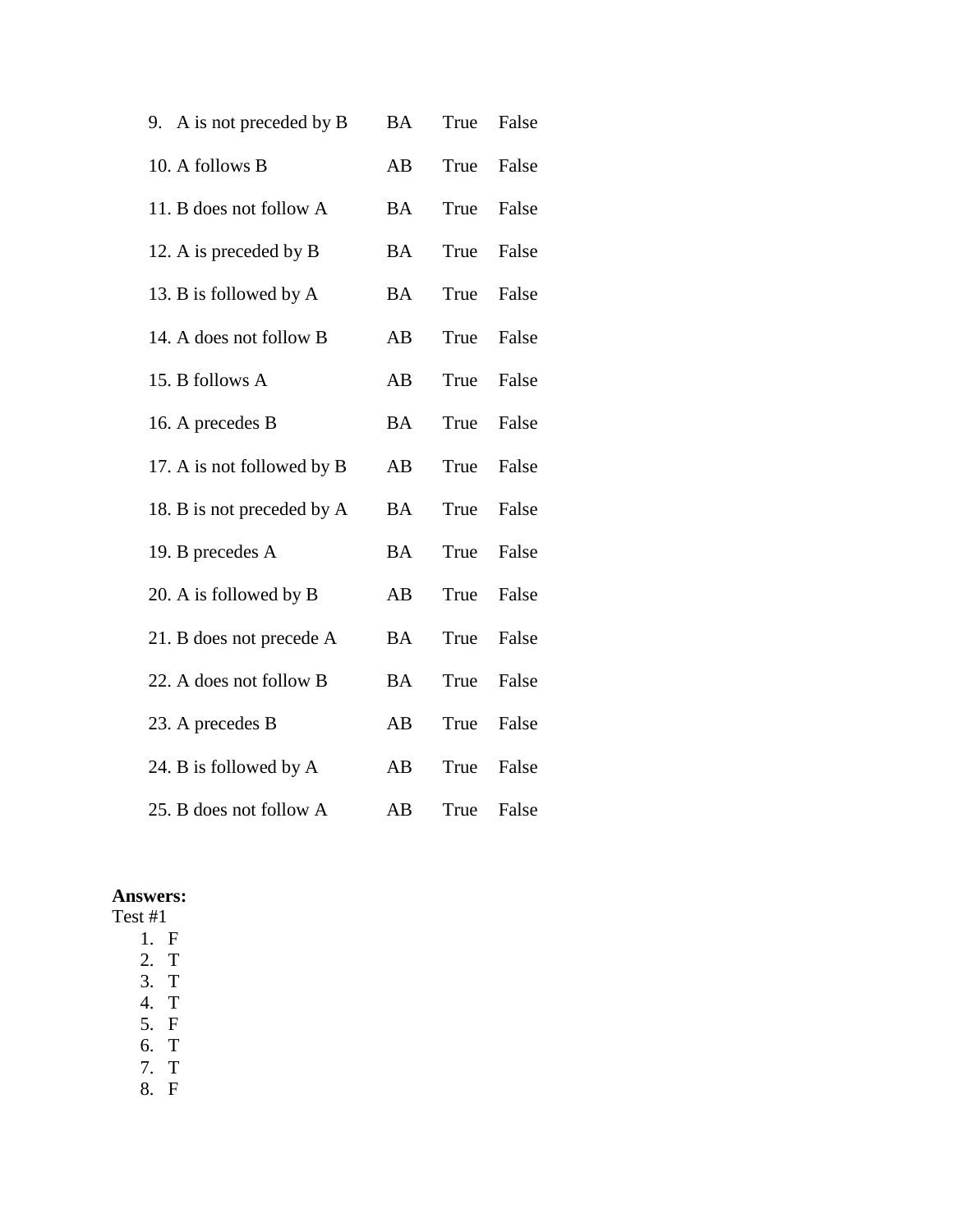| 9. A is not preceded by B  | <b>BA</b> | True | False |
|----------------------------|-----------|------|-------|
| 10. A follows B            | AB        | True | False |
| 11. B does not follow A    | <b>BA</b> | True | False |
| 12. A is preceded by B     | <b>BA</b> | True | False |
| 13. B is followed by A     | <b>BA</b> | True | False |
| 14. A does not follow B    | AB        | True | False |
| 15. B follows A            | AB        | True | False |
| 16. A precedes B           | <b>BA</b> | True | False |
| 17. A is not followed by B | AB        | True | False |
| 18. B is not preceded by A | <b>BA</b> | True | False |
| 19. B precedes A           | <b>BA</b> | True | False |
| 20. A is followed by B     | AB        | True | False |
| 21. B does not precede A   | <b>BA</b> | True | False |
| 22. A does not follow B    | <b>BA</b> | True | False |
| 23. A precedes B           | AB        | True | False |
| 24. B is followed by A     | AB        | True | False |
| 25. B does not follow A    | AB        | True | False |

# **Answers:**

- Test #1
	- 1. F 2. T
	- 3. T
	- 4. T
	- 5. F
	- 6. T
	- 7. T
	- 8. F